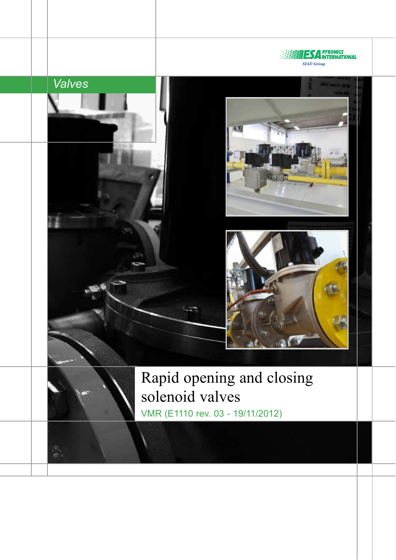



Rapid opening and closing solenoid valves VMR (E1110 rev. 03 - 19/11/2012)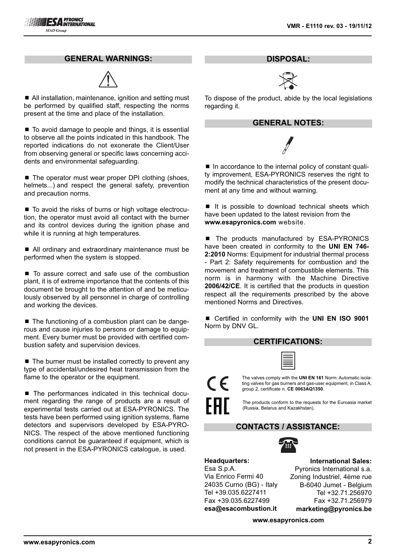#### **GENERAL WARNINGS:**



■ All installation, maintenance, ignition and setting must be performed by qualified staff, respecting the norms present at the time and place of the installation.

■ To avoid damage to people and things, it is essential to observe all the points indicated in this handbook. The reported indications do not exonerate the Client/User from observing general or specific laws concerning accidents and environmental safeguarding.

■ The operator must wear proper DPI clothing (shoes, helmets...) and respect the general safety, prevention and precaution norms.

■ To avoid the risks of burns or high voltage electrocution, the operator must avoid all contact with the burner and its control devices during the ignition phase and while it is running at high temperatures.

■ All ordinary and extraordinary maintenance must be performed when the system is stopped.

■ To assure correct and safe use of the combustion plant, it is of extreme importance that the contents of this document be brought to the attention of and be meticulously observed by all personnel in charge of controlling and working the devices.

■ The functioning of a combustion plant can be dangerous and cause injuries to persons or damage to equipment. Every burner must be provided with certified combustion safety and supervision devices.

 $\blacksquare$  The burner must be installed correctly to prevent any type of accidental/undesired heat transmission from the flame to the operator or the equipment.

■ The performances indicated in this technical document regarding the range of products are a result of experimental tests carried out at ESA-PYRONICS. The tests have been performed using ignition systems, flame detectors and supervisors developed by ESA-PYRO-NICS. The respect of the above mentioned functioning conditions cannot be guaranteed if equipment, which is not present in the ESA-PYRONICS catalogue, is used.

**DISPOSAL:**



To dispose of the product, abide by the local legislations regarding it.

#### **GENERAL NOTES:**

■ In accordance to the internal policy of constant quality improvement, ESA-PYRONICS reserves the right to modify the technical characteristics of the present document at any time and without warning.

■ It is possible to download technical sheets which have been updated to the latest revision from the **www.esapyronics.com** website.

■ The products manufactured by ESA-PYRONICS have been created in conformity to the **UNI EN 746- 2:2010** Norms: Equipment for industrial thermal process - Part 2: Safety requirements for combustion and the movement and treatment of combustible elements. This norm is in harmony with the Machine Directive **2006/42/CE**. It is certified that the products in question respect all the requirements prescribed by the above mentioned Norms and Directives.

■ Certified in conformity with the **UNI EN ISO 9001** Norm by DNV GL.

#### **CERTIFICATIONS:**

| _ |
|---|
|   |
|   |
|   |

The valves comply with the **UNI EN 161** Norm: Automatic isolating valves for gas burners and gas-user equipment, in Class A, group 2, certificate n. **CE 0063AQ1350**.

The products conform to the requests for the Euroasia market (Russia, Belarus and Kazakhstan).

# **CONTACTS / ASSISTANCE:**



**Headquarters:** Esa S.p.A. Via Enrico Fermi 40 24035 Curno (BG) - Italy Tel +39.035.6227411 Fax +39.035.6227499 **esa@esacombustion.it**

 $\epsilon$ 

**International Sales:** Pyronics International s.a. Zoning Industriel, 4ème rue B-6040 Jumet - Belgium Tel +32.71.256970 Fax +32.71.256979 **marketing@pyronics.be**

**www.esapyronics.com**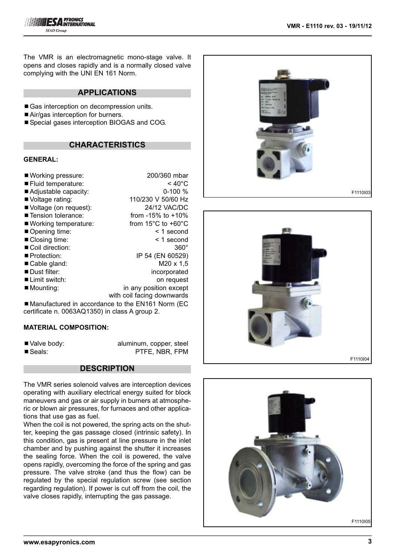

The VMR is an electromagnetic mono-stage valve. It opens and closes rapidly and is a normally closed valve complying with the UNI EN 161 Norm.

# **APPLICATIONS**

- Gas interception on decompression units.
- Air/gas interception for burners.
- Special gases interception BIOGAS and COG.

## **CHARACTERISTICS**

#### **GENERAL:**

| ■ Working pressure:          | 200/360 mbar                                                                                      |
|------------------------------|---------------------------------------------------------------------------------------------------|
| ■ Fluid temperature:         | $< 40^{\circ}$ C                                                                                  |
| Adjustable capacity:         | $0-100%$                                                                                          |
| Voltage rating:              | 110/230 V 50/60 Hz                                                                                |
| Voltage (on request):        | 24/12 VAC/DC                                                                                      |
| ■ Tension tolerance:         | from $-15\%$ to $+10\%$                                                                           |
| ■ Working temperature:       | from $15^{\circ}$ C to $+60^{\circ}$ C                                                            |
| Opening time:                | < 1 second                                                                                        |
| ■ Closing time:              | < 1 second                                                                                        |
| Coil direction:              | $360^\circ$                                                                                       |
| ■ Protection:                | IP 54 (EN 60529)                                                                                  |
| Cable gland:                 | $M20 \times 1,5$                                                                                  |
| Dust filter:                 | incorporated                                                                                      |
| $\blacksquare$ Limit switch: | on request                                                                                        |
| Mounting:                    | in any position except                                                                            |
|                              | with coil facing downwards                                                                        |
|                              | $\blacksquare$ Monufactured in accordance to the $\blacksquare$ M1461 Norm $\lnot\sqsubset\!\cap$ |

■Manufactured in accordance to the EN161 Norm (EC certificate n. 0063AQ1350) in class A group 2.

#### **MATERIAL COMPOSITION:**

■ Valve body: aluminum, copper, steel ■ Seals: PTFE, NBR, FPM

#### **DESCRIPTION**

The VMR series solenoid valves are interception devices operating with auxiliary electrical energy suited for block maneuvers and gas or air supply in burners at atmospheric or blown air pressures, for furnaces and other applications that use gas as fuel.

When the coil is not powered, the spring acts on the shutter, keeping the gas passage closed (intrinsic safety). In this condition, gas is present at line pressure in the inlet chamber and by pushing against the shutter it increases the sealing force. When the coil is powered, the valve opens rapidly, overcoming the force of the spring and gas pressure. The valve stroke (and thus the flow) can be regulated by the special regulation screw (see section regarding regulation). If power is cut off from the coil, the valve closes rapidly, interrupting the gas passage.





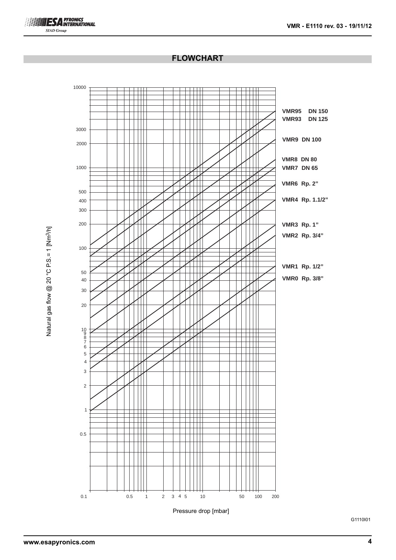# **ESA PYRONICS SIAD Group**

# **FLOWCHART**



Natural gas flow @ 20 °C P.S.= 1 [Nm<sup>3/h]</sup> Natural gas flow  $@$  20  $°$  C P.S. = 1 [Nm<sup>3</sup>/h]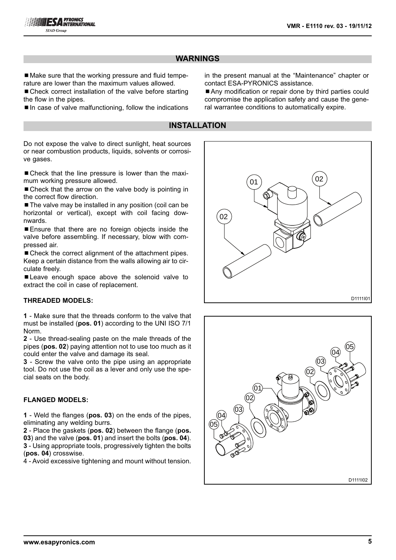# **WARNINGS**

■ Make sure that the working pressure and fluid temperature are lower than the maximum values allowed.

■ Check correct installation of the valve before starting the flow in the pipes.

 $\blacksquare$  In case of valve malfunctioning, follow the indications

in the present manual at the "Maintenance" chapter or contact ESA-PYRONICS assistance.

■ Any modification or repair done by third parties could compromise the application safety and cause the general warrantee conditions to automatically expire.

# **INSTALLATION**

Do not expose the valve to direct sunlight, heat sources or near combustion products, liquids, solvents or corrosive gases.

■ Check that the line pressure is lower than the maximum working pressure allowed.

■ Check that the arrow on the valve body is pointing in the correct flow direction.

■ The valve may be installed in any position (coil can be horizontal or vertical), except with coil facing downwards.

■ Ensure that there are no foreign objects inside the valve before assembling. If necessary, blow with compressed air.

■ Check the correct alignment of the attachment pipes. Keep a certain distance from the walls allowing air to circulate freely.

■ Leave enough space above the solenoid valve to extract the coil in case of replacement.

#### **THREADED MODELS:**

**1** - Make sure that the threads conform to the valve that must be installed (**pos. 01**) according to the UNI ISO 7/1 Norm.

**2** - Use thread-sealing paste on the male threads of the pipes (**pos. 02**) paying attention not to use too much as it could enter the valve and damage its seal.

**3** - Screw the valve onto the pipe using an appropriate tool. Do not use the coil as a lever and only use the special seats on the body.

#### **FLANGED MODELS:**

**1** - Weld the flanges (**pos. 03**) on the ends of the pipes, eliminating any welding burrs.

 - Place the gaskets (**pos. 02**) between the flange (**pos.** ) and the valve (**pos. 01**) and insert the bolts (**pos. 04**). - Using appropriate tools, progressively tighten the bolts (**pos. 04**) crosswise.

4 - Avoid excessive tightening and mount without tension.



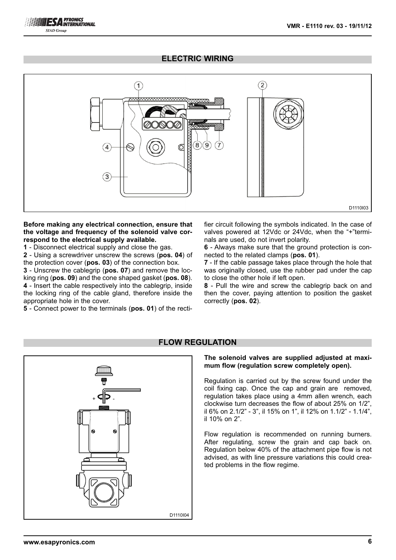# **ELECTRIC WIRING**



#### **Before making any electrical connection, ensure that the voltage and frequency of the solenoid valve correspond to the electrical supply available.**

**1** - Disconnect electrical supply and close the gas.

**2** - Using a screwdriver unscrew the screws (**pos. 04**) of the protection cover (**pos. 03**) of the connection box.

**3** - Unscrew the cablegrip (**pos. 07**) and remove the locking ring (**pos. 09**) and the cone shaped gasket (**pos. 08**). **4** - Insert the cable respectively into the cablegrip, inside the locking ring of the cable gland, therefore inside the appropriate hole in the cover.

**5** - Connect power to the terminals (**pos. 01**) of the recti-

fier circuit following the symbols indicated. In the case of valves powered at 12Vdc or 24Vdc, when the "+"terminals are used, do not invert polarity.

**6** - Always make sure that the ground protection is connected to the related clamps (**pos. 01**).

**7** - If the cable passage takes place through the hole that was originally closed, use the rubber pad under the cap to close the other hole if left open.

**8** - Pull the wire and screw the cablegrip back on and then the cover, paying attention to position the gasket correctly (**pos. 02**).



# **FLOW REGULATION**

**The solenoid valves are supplied adjusted at maximum flow (regulation screw completely open).**

Regulation is carried out by the screw found under the coil fixing cap. Once the cap and grain are removed, regulation takes place using a 4mm allen wrench, each clockwise turn decreases the flow of about 25% on 1/2", il 6% on 2.1/2" - 3", il 15% on 1", il 12% on 1.1/2" - 1.1/4", il 10% on 2".

Flow regulation is recommended on running burners. After regulating, screw the grain and cap back on. Regulation below 40% of the attachment pipe flow is not advised, as with line pressure variations this could created problems in the flow regime.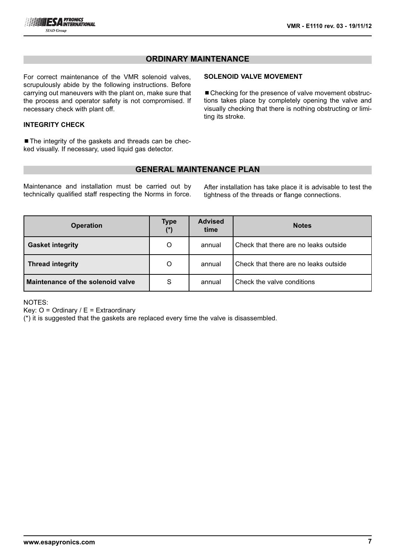

# **ORDINARY MAINTENANCE**

For correct maintenance of the VMR solenoid valves, scrupulously abide by the following instructions. Before carrying out maneuvers with the plant on, make sure that the process and operator safety is not compromised. If necessary check with plant off.

#### **INTEGRITY CHECK**

■ The integrity of the gaskets and threads can be checked visually. If necessary, used liquid gas detector.

# **SOLENOID VALVE MOVEMENT**

■ Checking for the presence of valve movement obstructions takes place by completely opening the valve and visually checking that there is nothing obstructing or limiting its stroke.

# **GENERAL MAINTENANCE PLAN**

Maintenance and installation must be carried out by technically qualified staff respecting the Norms in force. After installation has take place it is advisable to test the tightness of the threads or flange connections.

| <b>Operation</b>                  | <b>Type</b><br>$(*)$ | <b>Advised</b><br>time | <b>Notes</b>                          |
|-----------------------------------|----------------------|------------------------|---------------------------------------|
| <b>Gasket integrity</b>           | O                    | annual                 | Check that there are no leaks outside |
| <b>Thread integrity</b>           | O                    | annual                 | Check that there are no leaks outside |
| Maintenance of the solenoid valve | S                    | annual                 | Check the valve conditions            |

NOTES:

Key:  $O =$  Ordinary /  $E =$  Extraordinary

(\*) it is suggested that the gaskets are replaced every time the valve is disassembled.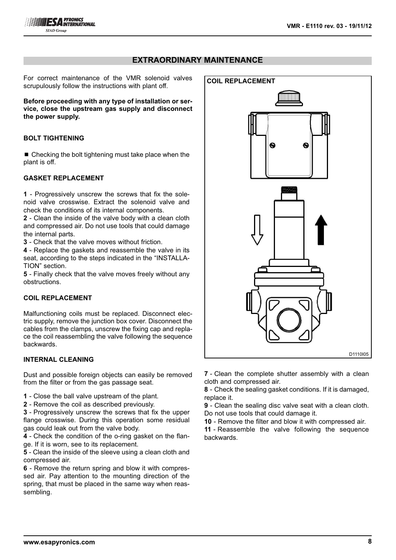# **EXTRAORDINARY MAINTENANCE**

For correct maintenance of the VMR solenoid valves scrupulously follow the instructions with plant off.

**Before proceeding with any type of installation or service, close the upstream gas supply and disconnect the power supply.**

#### **BOLT TIGHTENING**

 $\blacksquare$  Checking the bolt tightening must take place when the plant is off.

#### **GASKET REPLACEMENT**

**1** - Progressively unscrew the screws that fix the solenoid valve crosswise. Extract the solenoid valve and check the conditions of its internal components.

**2** - Clean the inside of the valve body with a clean cloth and compressed air. Do not use tools that could damage the internal parts.

**3** - Check that the valve moves without friction.

**4** - Replace the gaskets and reassemble the valve in its seat, according to the steps indicated in the "INSTALLA-TION" section.

**5** - Finally check that the valve moves freely without any obstructions.

#### **COIL REPLACEMENT**

Malfunctioning coils must be replaced. Disconnect electric supply, remove the junction box cover. Disconnect the cables from the clamps, unscrew the fixing cap and replace the coil reassembling the valve following the sequence backwards.

#### **INTERNAL CLEANING**

Dust and possible foreign objects can easily be removed from the filter or from the gas passage seat.

- **1**  Close the ball valve upstream of the plant.
- **2**  Remove the coil as described previously.

**3** - Progressively unscrew the screws that fix the upper flange crosswise. During this operation some residual gas could leak out from the valve body.

**4** - Check the condition of the o-ring gasket on the flange. If it is worn, see to its replacement.

**5** - Clean the inside of the sleeve using a clean cloth and compressed air.

**6** - Remove the return spring and blow it with compressed air. Pay attention to the mounting direction of the spring, that must be placed in the same way when reassembling.



**7** - Clean the complete shutter assembly with a clean cloth and compressed air.

**8** - Check the sealing gasket conditions. If it is damaged, replace it.

**9** - Clean the sealing disc valve seat with a clean cloth. Do not use tools that could damage it.

**10** - Remove the filter and blow it with compressed air.

**11** - Reassemble the valve following the sequence backwards.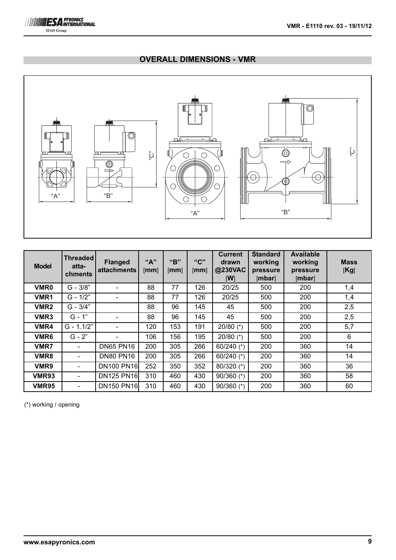# **OVERALL DIMENSIONS - VMR**



| <b>Model</b>     | <b>Threaded</b><br>atta-<br>chments | <b>Flanged</b><br>attachments | "A"<br>[mm] | "R"<br>[mm] | "C"<br>[mm] | <b>Current</b><br>drawn<br>@230VAC<br>[W] | <b>Standard</b><br>working<br>pressure<br>[mbar] | <b>Available</b><br>working<br>pressure<br>[mbar] | <b>Mass</b><br>[Kg] |
|------------------|-------------------------------------|-------------------------------|-------------|-------------|-------------|-------------------------------------------|--------------------------------------------------|---------------------------------------------------|---------------------|
| <b>VMR0</b>      | $G - 3/8"$                          |                               | 88          | 77          | 126         | 20/25                                     | 500                                              | 200                                               | 1,4                 |
| VMR1             | $G - 1/2"$                          |                               | 88          | 77          | 126         | 20/25                                     | 500                                              | 200                                               | 1,4                 |
| VMR <sub>2</sub> | $G - 3/4"$                          |                               | 88          | 96          | 145         | 45                                        | 500                                              | 200                                               | 2,5                 |
| VMR3             | $G - 1"$                            |                               | 88          | 96          | 145         | 45                                        | 500                                              | 200                                               | 2,5                 |
| VMR4             | $G - 1.1/2"$                        |                               | 120         | 153         | 191         | 20/80 $(*)$                               | 500                                              | 200                                               | 5,7                 |
| VMR <sub>6</sub> | $G - 2"$                            |                               | 106         | 156         | 195         | 20/80 $(*)$                               | 500                                              | 200                                               | 6                   |
| <b>VMR7</b>      |                                     | <b>DN65 PN16</b>              | 200         | 305         | 266         | 60/240 $(*)$                              | 200                                              | 360                                               | 14                  |
| VMR8             |                                     | <b>DN80 PN16</b>              | 200         | 305         | 266         | 60/240 $(*)$                              | 200                                              | 360                                               | 14                  |
| VMR9             |                                     | <b>DN100 PN16</b>             | 252         | 350         | 352         | $80/320$ (*)                              | 200                                              | 360                                               | 36                  |
| <b>VMR93</b>     |                                     | <b>DN125 PN16</b>             | 310         | 460         | 430         | $90/360$ (*)                              | 200                                              | 360                                               | 58                  |
| <b>VMR95</b>     |                                     | <b>DN150 PN16</b>             | 310         | 460         | 430         | $90/360$ (*)                              | 200                                              | 360                                               | 60                  |

(\*) working / opening